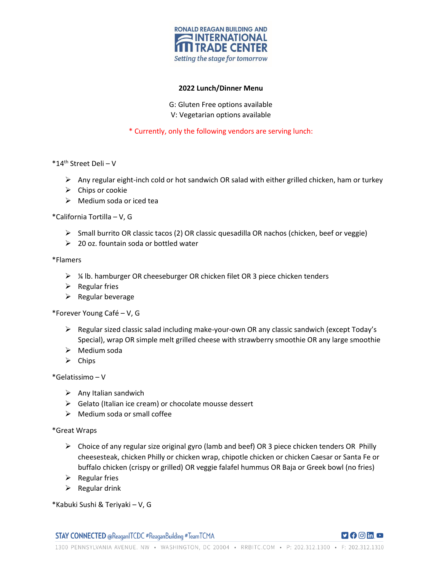

## **2022 Lunch/Dinner Menu**

G: Gluten Free options available V: Vegetarian options available

\* Currently, only the following vendors are serving lunch:

- \*14th Street Deli V
	- $\triangleright$  Any regular eight-inch cold or hot sandwich OR salad with either grilled chicken, ham or turkey
	- $\triangleright$  Chips or cookie
	- $\triangleright$  Medium soda or iced tea

\*California Tortilla – V, G

- $\triangleright$  Small burrito OR classic tacos (2) OR classic quesadilla OR nachos (chicken, beef or veggie)
- $\geq 20$  oz. fountain soda or bottled water

\*Flamers

- $\triangleright$  % lb. hamburger OR cheeseburger OR chicken filet OR 3 piece chicken tenders
- $\triangleright$  Regular fries
- $\triangleright$  Regular beverage

\*Forever Young Café – V, G

- $\triangleright$  Regular sized classic salad including make-your-own OR any classic sandwich (except Today's Special), wrap OR simple melt grilled cheese with strawberry smoothie OR any large smoothie
- $\triangleright$  Medium soda
- $\triangleright$  Chips

\*Gelatissimo – V

- $\triangleright$  Any Italian sandwich
- $\triangleright$  Gelato (Italian ice cream) or chocolate mousse dessert
- $\triangleright$  Medium soda or small coffee

\*Great Wraps

- $\triangleright$  Choice of any regular size original gyro (lamb and beef) OR 3 piece chicken tenders OR Philly cheesesteak, chicken Philly or chicken wrap, chipotle chicken or chicken Caesar or Santa Fe or buffalo chicken (crispy or grilled) OR veggie falafel hummus OR Baja or Greek bowl (no fries)
- $\triangleright$  Regular fries
- $\triangleright$  Regular drink

\*Kabuki Sushi & Teriyaki – V, G

**STAY CONNECTED @ReaganITCDC #ReaganBuilding #TeamTCMA** 

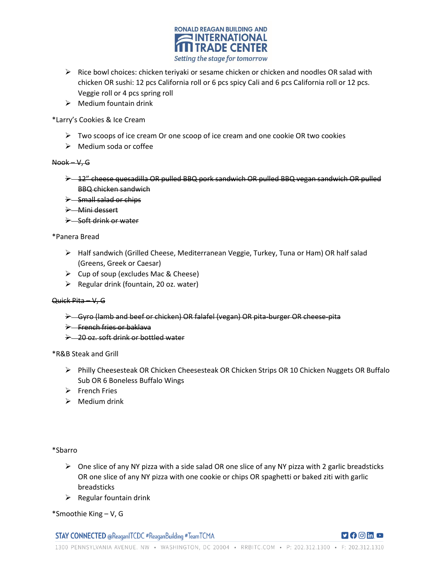

- $\triangleright$  Rice bowl choices: chicken teriyaki or sesame chicken or chicken and noodles OR salad with chicken OR sushi: 12 pcs California roll or 6 pcs spicy Cali and 6 pcs California roll or 12 pcs. Veggie roll or 4 pcs spring roll
- $\triangleright$  Medium fountain drink

\*Larry's Cookies & Ice Cream

- $\triangleright$  Two scoops of ice cream Or one scoop of ice cream and one cookie OR two cookies
- $\triangleright$  Medium soda or coffee

## Nook – V, G

- $\rightarrow$  12" cheese quesadilla OR pulled BBQ pork sandwich OR pulled BBQ vegan sandwich OR pulled BBQ chicken sandwich
- $\rightarrow$  -Small salad or chips
- Mini dessert
- $\rightarrow$  Soft drink or water

#### \*Panera Bread

- Half sandwich (Grilled Cheese, Mediterranean Veggie, Turkey, Tuna or Ham) OR half salad (Greens, Greek or Caesar)
- $\triangleright$  Cup of soup (excludes Mac & Cheese)
- $\triangleright$  Regular drink (fountain, 20 oz. water)

## Quick Pita – V, G

- Gyro (lamb and beef or chicken) OR falafel (vegan) OR pita-burger OR cheese-pita
- $\rightarrow$  -French fries or baklava
- → 20 oz. soft drink or bottled water

#### \*R&B Steak and Grill

- Philly Cheesesteak OR Chicken Cheesesteak OR Chicken Strips OR 10 Chicken Nuggets OR Buffalo Sub OR 6 Boneless Buffalo Wings
- $\triangleright$  French Fries
- $\triangleright$  Medium drink

\*Sbarro

- $\triangleright$  One slice of any NY pizza with a side salad OR one slice of any NY pizza with 2 garlic breadsticks OR one slice of any NY pizza with one cookie or chips OR spaghetti or baked ziti with garlic breadsticks
- $\triangleright$  Regular fountain drink
- \*Smoothie King V, G

**STAY CONNECTED @ReaganITCDC #ReaganBuilding #TeamTCMA**